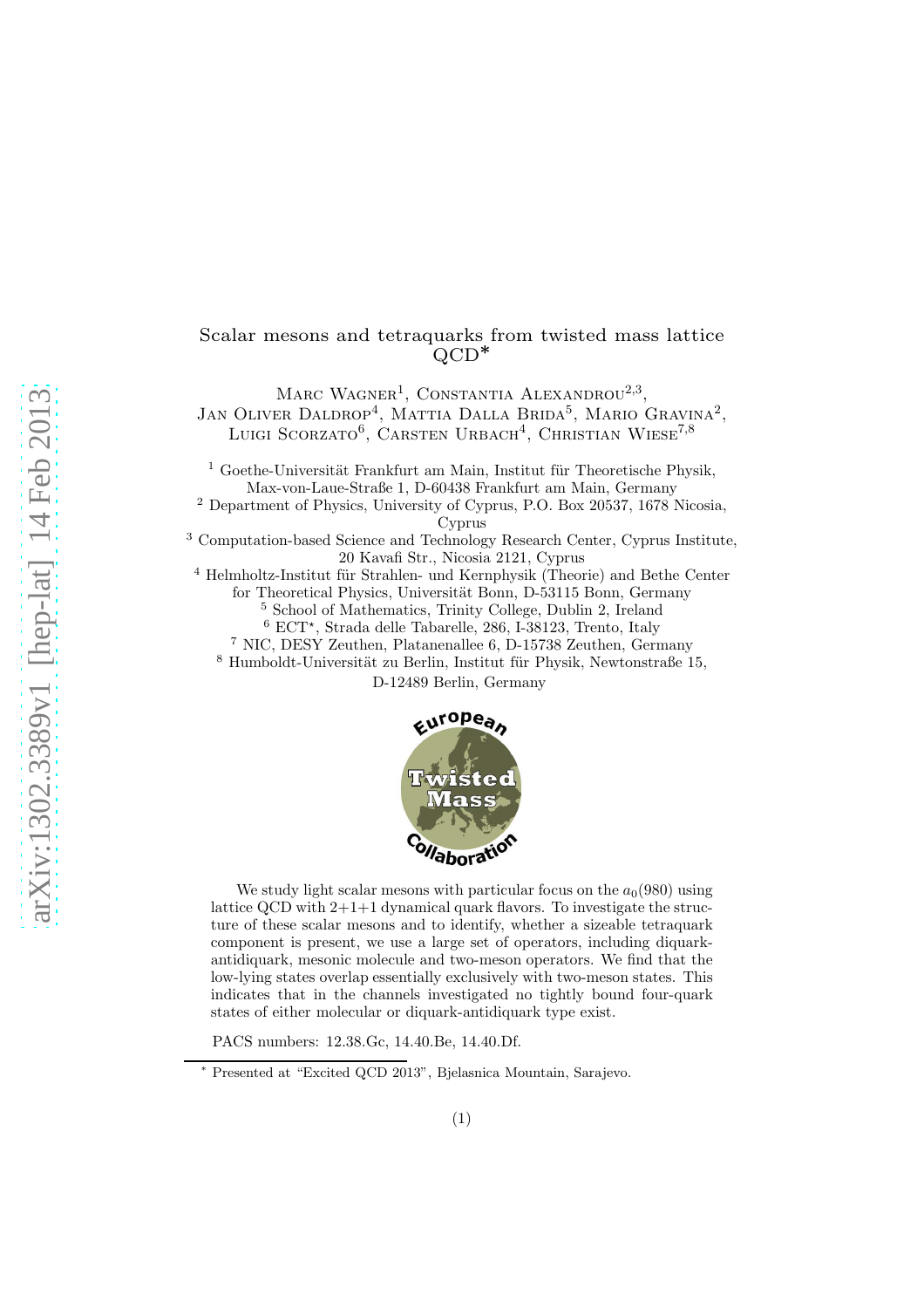# Scalar mesons and tetraquarks from twisted mass lattice QCD<sup>∗</sup>

MARC WAGNER<sup>1</sup>, CONSTANTIA ALEXANDROU<sup>2,3</sup>, JAN OLIVER DALDROP<sup>4</sup>, MATTIA DALLA BRIDA<sup>5</sup>, MARIO GRAVINA<sup>2</sup>, Luigi Scorzato<sup>6</sup>, Carsten Urbach<sup>4</sup>, Christian Wiese<sup>7,8</sup>

 $1$  Goethe-Universität Frankfurt am Main, Institut für Theoretische Physik, Max-von-Laue-Straße 1, D-60438 Frankfurt am Main, Germany

<sup>2</sup> Department of Physics, University of Cyprus, P.O. Box 20537, 1678 Nicosia, Cyprus

<sup>3</sup> Computation-based Science and Technology Research Center, Cyprus Institute, 20 Kavafi Str., Nicosia 2121, Cyprus

 $4$  Helmholtz-Institut für Strahlen- und Kernphysik (Theorie) and Bethe Center for Theoretical Physics, Universität Bonn, D-53115 Bonn, Germany

<sup>5</sup> School of Mathematics, Trinity College, Dublin 2, Ireland

<sup>6</sup> ECT<sup>\*</sup>, Strada delle Tabarelle, 286, I-38123, Trento, Italy

<sup>7</sup> NIC, DESY Zeuthen, Platanenallee 6, D-15738 Zeuthen, Germany

 $8$  Humboldt-Universität zu Berlin, Institut für Physik, Newtonstraße 15,

D-12489 Berlin, Germany



We study light scalar mesons with particular focus on the  $a_0(980)$  using lattice QCD with 2+1+1 dynamical quark flavors. To investigate the structure of these scalar mesons and to identify, whether a sizeable tetraquark component is present, we use a large set of operators, including diquarkantidiquark, mesonic molecule and two-meson operators. We find that the low-lying states overlap essentially exclusively with two-meson states. This indicates that in the channels investigated no tightly bound four-quark states of either molecular or diquark-antidiquark type exist.

PACS numbers: 12.38.Gc, 14.40.Be, 14.40.Df.

<sup>∗</sup> Presented at "Excited QCD 2013", Bjelasnica Mountain, Sarajevo.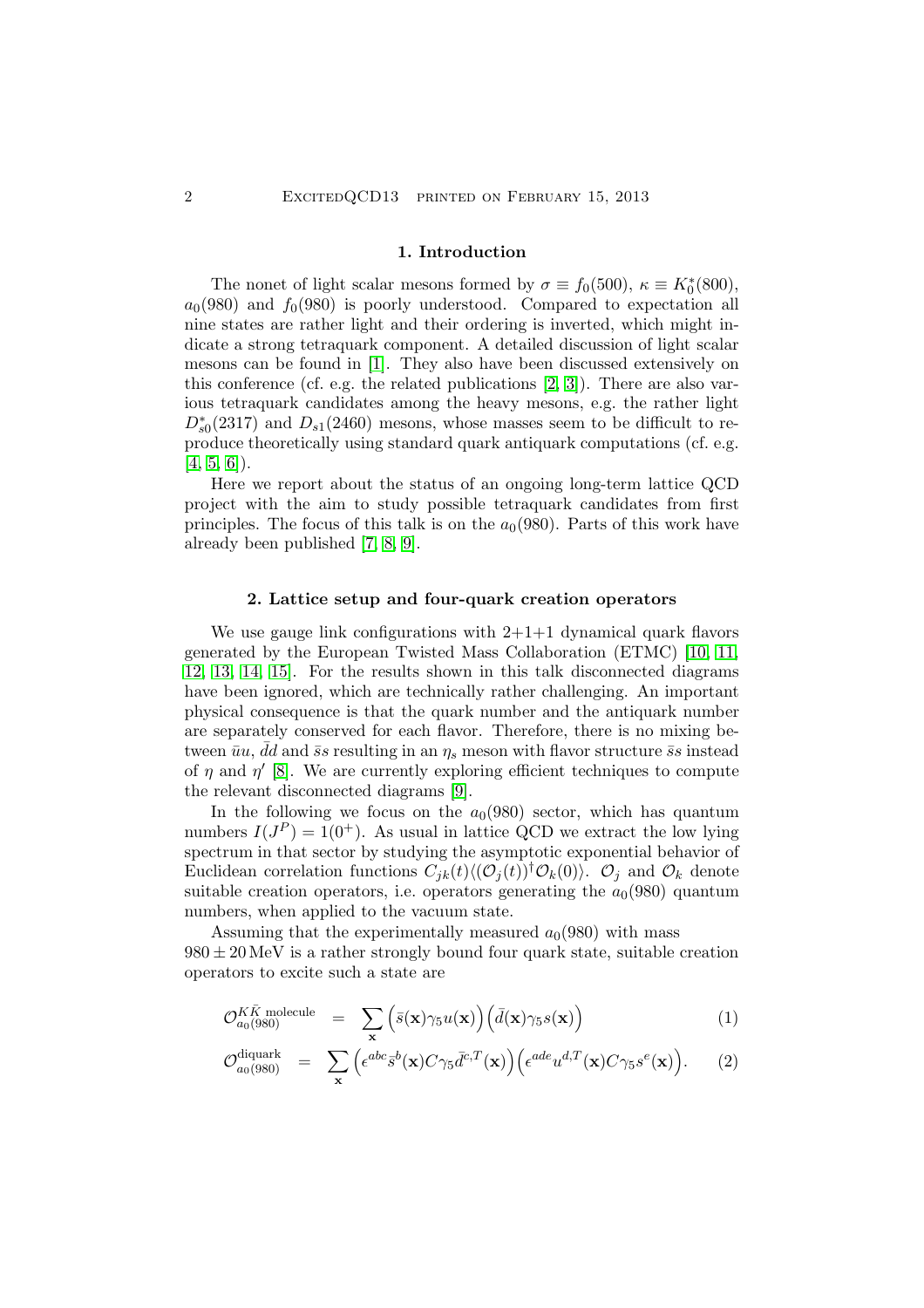#### 1. Introduction

The nonet of light scalar mesons formed by  $\sigma \equiv f_0(500)$ ,  $\kappa \equiv K_0^*(800)$ ,  $a_0(980)$  and  $f_0(980)$  is poorly understood. Compared to expectation all nine states are rather light and their ordering is inverted, which might indicate a strong tetraquark component. A detailed discussion of light scalar mesons can be found in [\[1\]](#page-4-0). They also have been discussed extensively on this conference (cf. e.g. the related publications [\[2,](#page-5-0) [3\]](#page-5-1)). There are also various tetraquark candidates among the heavy mesons, e.g. the rather light  $D_{s0}^*(2317)$  and  $D_{s1}(2460)$  mesons, whose masses seem to be difficult to reproduce theoretically using standard quark antiquark computations (cf. e.g.  $[4, 5, 6]$  $[4, 5, 6]$  $[4, 5, 6]$ .

Here we report about the status of an ongoing long-term lattice QCD project with the aim to study possible tetraquark candidates from first principles. The focus of this talk is on the  $a<sub>0</sub>(980)$ . Parts of this work have already been published [\[7,](#page-5-5) [8,](#page-5-6) [9\]](#page-5-7).

#### 2. Lattice setup and four-quark creation operators

We use gauge link configurations with  $2+1+1$  dynamical quark flavors generated by the European Twisted Mass Collaboration (ETMC) [\[10,](#page-5-8) [11,](#page-5-9) [12,](#page-5-10) [13,](#page-5-11) [14,](#page-5-12) [15\]](#page-5-13). For the results shown in this talk disconnected diagrams have been ignored, which are technically rather challenging. An important physical consequence is that the quark number and the antiquark number are separately conserved for each flavor. Therefore, there is no mixing between  $\bar{u}u$ ,  $\bar{d}d$  and  $\bar{s}s$  resulting in an  $\eta_s$  meson with flavor structure  $\bar{s}s$  instead of  $\eta$  and  $\eta'$  [\[8\]](#page-5-6). We are currently exploring efficient techniques to compute the relevant disconnected diagrams [\[9\]](#page-5-7).

In the following we focus on the  $a<sub>0</sub>(980)$  sector, which has quantum numbers  $I(J^P) = 1(0^+)$ . As usual in lattice QCD we extract the low lying spectrum in that sector by studying the asymptotic exponential behavior of Euclidean correlation functions  $C_{ik}(t)\langle (\mathcal{O}_j(t))^\dagger \mathcal{O}_k(0)\rangle$ .  $\mathcal{O}_j$  and  $\mathcal{O}_k$  denote suitable creation operators, i.e. operators generating the  $a_0(980)$  quantum numbers, when applied to the vacuum state.

Assuming that the experimentally measured  $a_0(980)$  with mass  $980 \pm 20$  MeV is a rather strongly bound four quark state, suitable creation operators to excite such a state are

<span id="page-1-0"></span>
$$
\mathcal{O}_{a_0(980)}^{K\bar{K} \text{ molecule}} = \sum_{\mathbf{x}} \left( \bar{s}(\mathbf{x}) \gamma_5 u(\mathbf{x}) \right) \left( \bar{d}(\mathbf{x}) \gamma_5 s(\mathbf{x}) \right) \tag{1}
$$

$$
\mathcal{O}_{a_0(980)}^{\text{diquark}} = \sum_{\mathbf{x}} \Big( \epsilon^{abc} \bar{s}^b(\mathbf{x}) C \gamma_5 \bar{d}^{c,T}(\mathbf{x}) \Big) \Big( \epsilon^{ade} u^{d,T}(\mathbf{x}) C \gamma_5 s^e(\mathbf{x}) \Big). \tag{2}
$$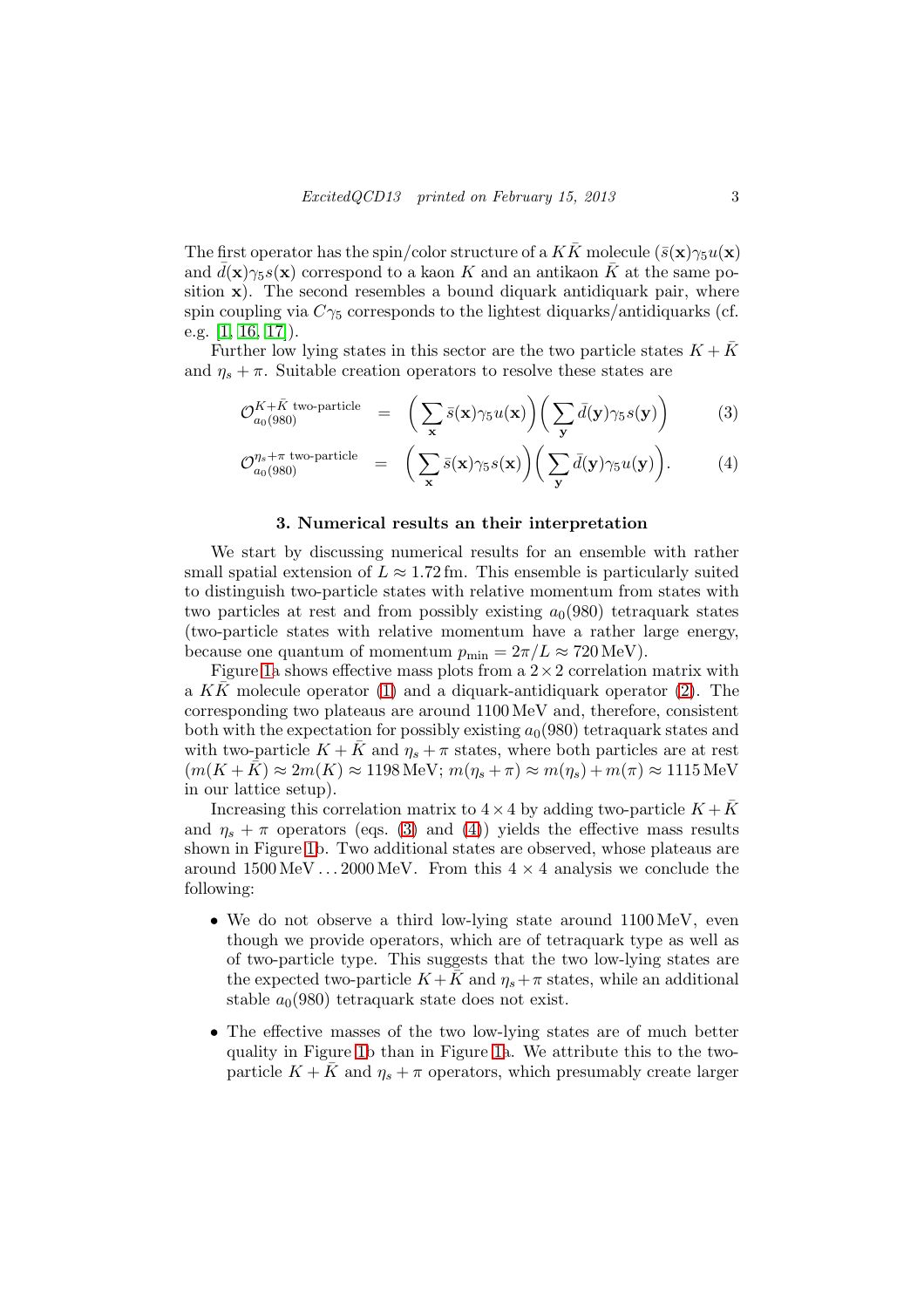The first operator has the spin/color structure of a  $K\bar{K}$  molecule  $(\bar{s}(\mathbf{x})\gamma_5u(\mathbf{x}))$ and  $d(\mathbf{x})\gamma_5s(\mathbf{x})$  correspond to a kaon K and an antikaon  $\bar{K}$  at the same position  $x$ ). The second resembles a bound diquark antidiquark pair, where spin coupling via  $C\gamma_5$  corresponds to the lightest diquarks/antidiquarks (cf. e.g. [\[1,](#page-4-0) [16,](#page-5-14) [17\]](#page-5-15)).

Further low lying states in this sector are the two particle states  $K + K$ and  $\eta_s + \pi$ . Suitable creation operators to resolve these states are

<span id="page-2-0"></span>
$$
\mathcal{O}_{a_0(980)}^{K+\bar{K} \text{ two-particle}} = \left( \sum_{\mathbf{x}} \bar{s}(\mathbf{x}) \gamma_5 u(\mathbf{x}) \right) \left( \sum_{\mathbf{y}} \bar{d}(\mathbf{y}) \gamma_5 s(\mathbf{y}) \right) \tag{3}
$$

$$
\mathcal{O}_{a_0(980)}^{\eta_s + \pi \text{ two-particle}} = \left( \sum_{\mathbf{x}} \bar{s}(\mathbf{x}) \gamma_5 s(\mathbf{x}) \right) \left( \sum_{\mathbf{y}} \bar{d}(\mathbf{y}) \gamma_5 u(\mathbf{y}) \right).
$$
 (4)

# 3. Numerical results an their interpretation

We start by discussing numerical results for an ensemble with rather small spatial extension of  $L \approx 1.72$  fm. This ensemble is particularly suited to distinguish two-particle states with relative momentum from states with two particles at rest and from possibly existing  $a_0(980)$  tetraquark states (two-particle states with relative momentum have a rather large energy, because one quantum of momentum  $p_{\text{min}} = 2\pi/L \approx 720 \text{ MeV}$ .

Figure [1a](#page-3-0) shows effective mass plots from a  $2 \times 2$  correlation matrix with a KK molecule operator [\(1\)](#page-1-0) and a diquark-antidiquark operator [\(2\)](#page-1-0). The corresponding two plateaus are around 1100 MeV and, therefore, consistent both with the expectation for possibly existing  $a_0(980)$  tetraquark states and with two-particle  $K + \bar{K}$  and  $\eta_s + \pi$  states, where both particles are at rest  $(m(K+K) \approx 2m(K) \approx 1198 \text{ MeV}; m(\eta_s + \pi) \approx m(\eta_s) + m(\pi) \approx 1115 \text{ MeV}$ in our lattice setup).

Increasing this correlation matrix to  $4 \times 4$  by adding two-particle  $K + K$ and  $\eta_s + \pi$  operators (eqs. [\(3\)](#page-2-0) and [\(4\)](#page-2-0)) yields the effective mass results shown in Figure [1b](#page-3-0). Two additional states are observed, whose plateaus are around 1500 MeV  $\dots$  2000 MeV. From this  $4 \times 4$  analysis we conclude the following:

- We do not observe a third low-lying state around  $1100 \,\text{MeV}$ , even though we provide operators, which are of tetraquark type as well as of two-particle type. This suggests that the two low-lying states are the expected two-particle  $K + K$  and  $\eta_s + \pi$  states, while an additional stable  $a_0(980)$  tetraquark state does not exist.
- The effective masses of the two low-lying states are of much better quality in Figure [1b](#page-3-0) than in Figure [1a](#page-3-0). We attribute this to the twoparticle  $K + K$  and  $\eta_s + \pi$  operators, which presumably create larger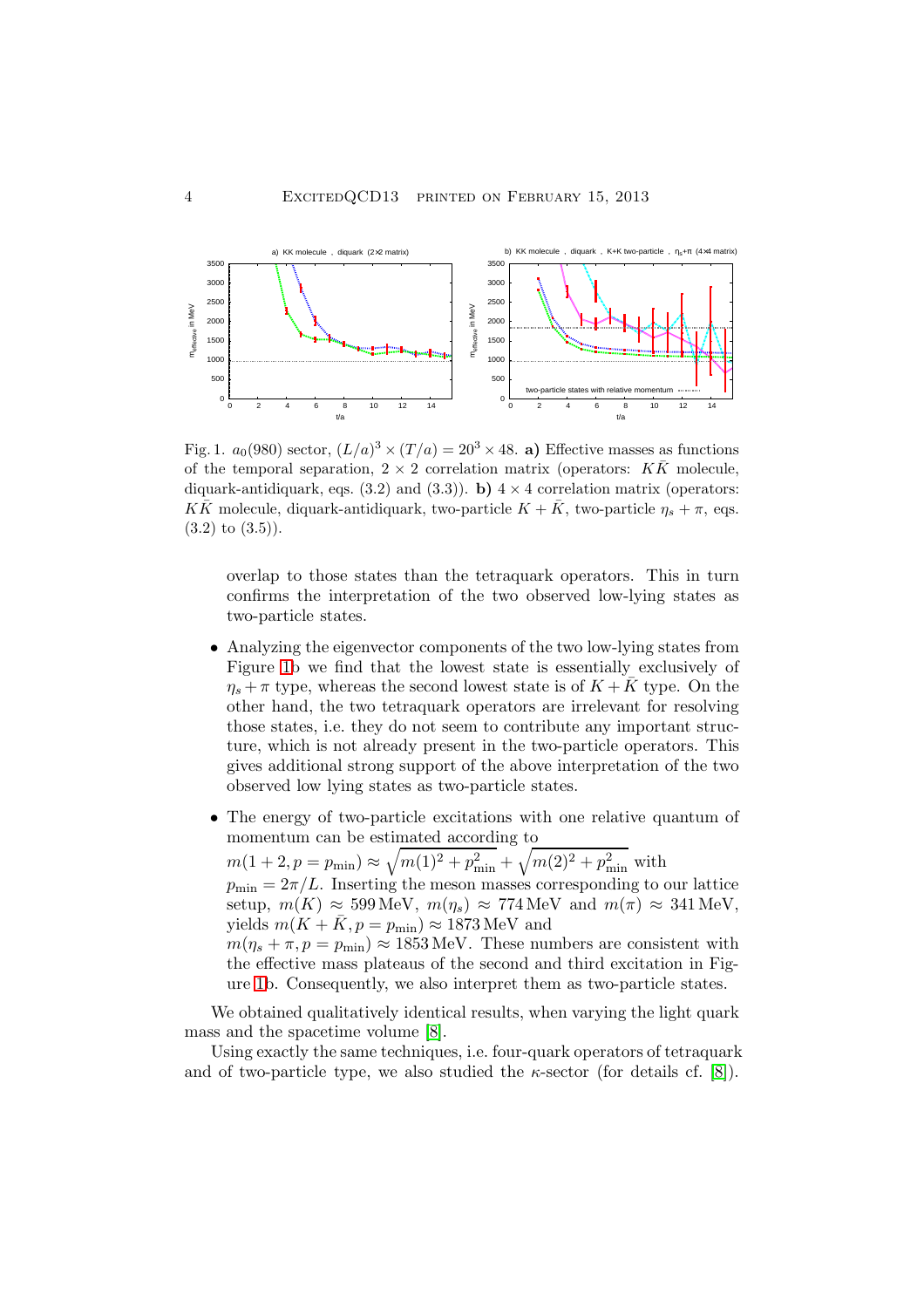

<span id="page-3-0"></span>Fig. 1.  $a_0(980)$  sector,  $(L/a)^3 \times (T/a) = 20^3 \times 48$ . a) Effective masses as functions of the temporal separation,  $2 \times 2$  correlation matrix (operators:  $K\overline{K}$  molecule, diquark-antidiquark, eqs. (3.2) and (3.3)). b)  $4 \times 4$  correlation matrix (operators:  $K\bar{K}$  molecule, diquark-antidiquark, two-particle  $K + \bar{K}$ , two-particle  $\eta_s + \pi$ , eqs.  $(3.2)$  to  $(3.5)$ ).

overlap to those states than the tetraquark operators. This in turn confirms the interpretation of the two observed low-lying states as two-particle states.

- Analyzing the eigenvector components of the two low-lying states from Figure [1b](#page-3-0) we find that the lowest state is essentially exclusively of  $\eta_s + \pi$  type, whereas the second lowest state is of  $K + \bar{K}$  type. On the other hand, the two tetraquark operators are irrelevant for resolving those states, i.e. they do not seem to contribute any important structure, which is not already present in the two-particle operators. This gives additional strong support of the above interpretation of the two observed low lying states as two-particle states.
- The energy of two-particle excitations with one relative quantum of momentum can be estimated according to

 $m(1+2, p = p_{\min}) \approx \sqrt{m(1)^2 + p_{\min}^2} + \sqrt{m(2)^2 + p_{\min}^2}$  with  $p_{\min} = 2\pi/L$ . Inserting the meson masses corresponding to our lattice setup,  $m(K) \approx 599 \text{ MeV}, m(\eta_s) \approx 774 \text{ MeV}$  and  $m(\pi) \approx 341 \text{ MeV}$ , yields  $m(K + \overline{K}, p = p_{\min}) \approx 1873 \text{ MeV}$  and  $m(\eta_s + \pi, p = p_{\text{min}}) \approx 1853 \text{ MeV}$ . These numbers are consistent with the effective mass plateaus of the second and third excitation in Figure [1b](#page-3-0). Consequently, we also interpret them as two-particle states.

We obtained qualitatively identical results, when varying the light quark mass and the spacetime volume [\[8\]](#page-5-6).

Using exactly the same techniques, i.e. four-quark operators of tetraquark and of two-particle type, we also studied the  $\kappa$ -sector (for details cf. [\[8\]](#page-5-6)).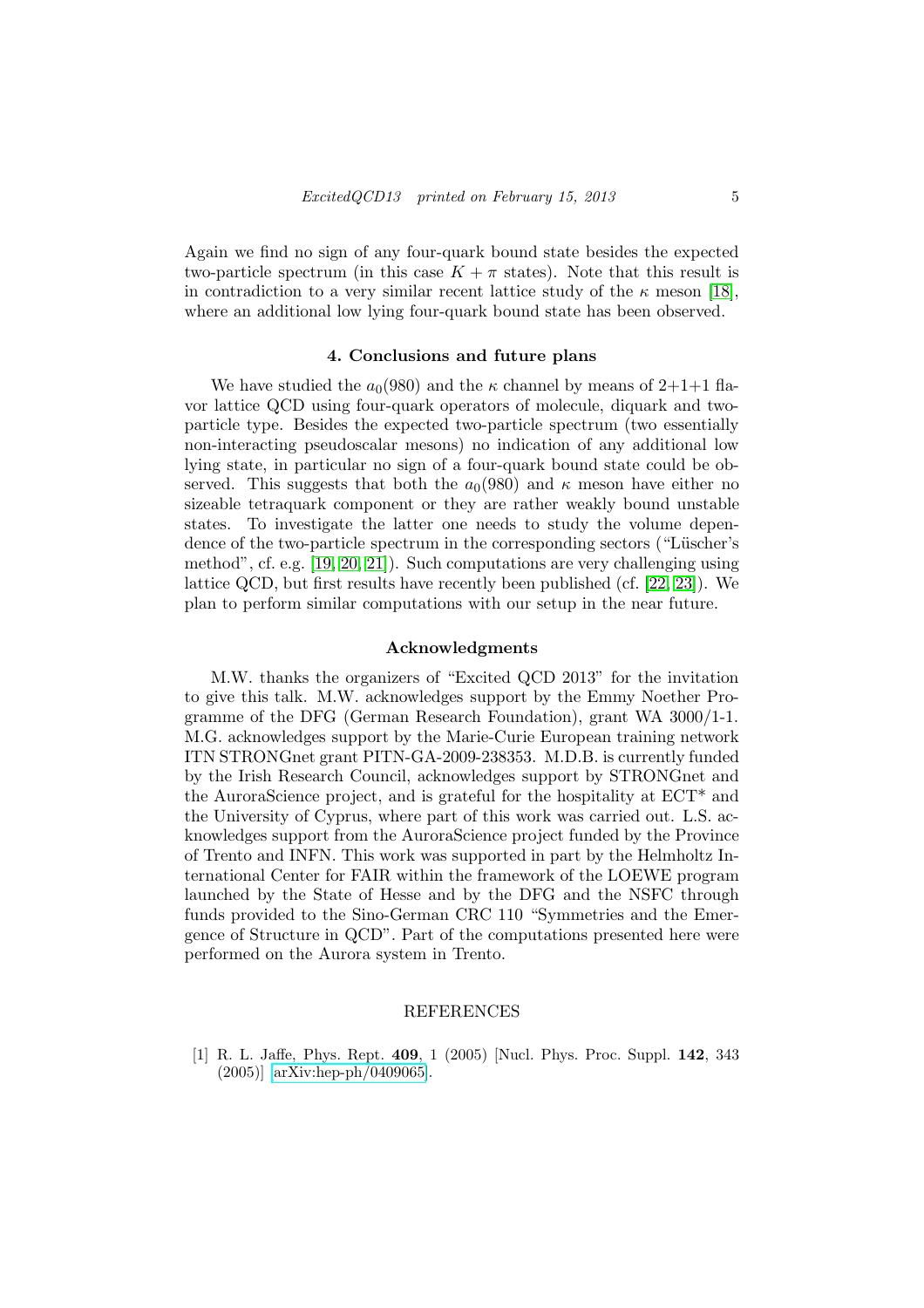Again we find no sign of any four-quark bound state besides the expected two-particle spectrum (in this case  $K + \pi$  states). Note that this result is in contradiction to a very similar recent lattice study of the  $\kappa$  meson [\[18\]](#page-5-16), where an additional low lying four-quark bound state has been observed.

#### 4. Conclusions and future plans

We have studied the  $a_0(980)$  and the  $\kappa$  channel by means of 2+1+1 flavor lattice QCD using four-quark operators of molecule, diquark and twoparticle type. Besides the expected two-particle spectrum (two essentially non-interacting pseudoscalar mesons) no indication of any additional low lying state, in particular no sign of a four-quark bound state could be observed. This suggests that both the  $a_0(980)$  and  $\kappa$  meson have either no sizeable tetraquark component or they are rather weakly bound unstable states. To investigate the latter one needs to study the volume dependence of the two-particle spectrum in the corresponding sectors ("Lüscher's method", cf. e.g. [\[19,](#page-5-17) [20,](#page-5-18) [21\]](#page-5-19)). Such computations are very challenging using lattice QCD, but first results have recently been published (cf. [\[22,](#page-5-20) [23\]](#page-5-21)). We plan to perform similar computations with our setup in the near future.

# Acknowledgments

M.W. thanks the organizers of "Excited QCD 2013" for the invitation to give this talk. M.W. acknowledges support by the Emmy Noether Programme of the DFG (German Research Foundation), grant WA 3000/1-1. M.G. acknowledges support by the Marie-Curie European training network ITN STRONGnet grant PITN-GA-2009-238353. M.D.B. is currently funded by the Irish Research Council, acknowledges support by STRONGnet and the AuroraScience project, and is grateful for the hospitality at ECT\* and the University of Cyprus, where part of this work was carried out. L.S. acknowledges support from the AuroraScience project funded by the Province of Trento and INFN. This work was supported in part by the Helmholtz International Center for FAIR within the framework of the LOEWE program launched by the State of Hesse and by the DFG and the NSFC through funds provided to the Sino-German CRC 110 "Symmetries and the Emergence of Structure in QCD". Part of the computations presented here were performed on the Aurora system in Trento.

# REFERENCES

<span id="page-4-0"></span>[1] R. L. Jaffe, Phys. Rept. 409, 1 (2005) [Nucl. Phys. Proc. Suppl. 142, 343 (2005)] [\[arXiv:hep-ph/0409065\]](http://arxiv.org/abs/hep-ph/0409065).